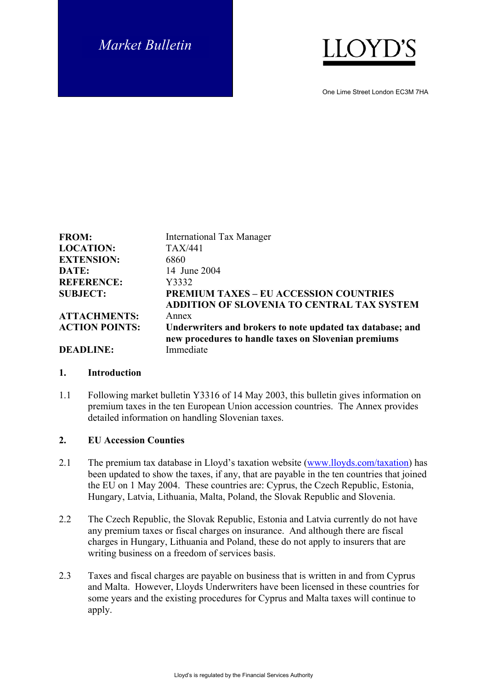# *Market Bulletin*



One Lime Street London EC3M 7HA

| <b>FROM:</b>          | <b>International Tax Manager</b>                                  |
|-----------------------|-------------------------------------------------------------------|
| <b>LOCATION:</b>      | <b>TAX/441</b>                                                    |
| <b>EXTENSION:</b>     | 6860                                                              |
| DATE:                 | 14 June 2004                                                      |
| <b>REFERENCE:</b>     | Y3332                                                             |
| <b>SUBJECT:</b>       | <b>PREMIUM TAXES – EU ACCESSION COUNTRIES</b>                     |
|                       | ADDITION OF SLOVENIA TO CENTRAL TAX SYSTEM                        |
| <b>ATTACHMENTS:</b>   | Annex                                                             |
| <b>ACTION POINTS:</b> | Underwriters and brokers to note updated tax database; and        |
| <b>DEADLINE:</b>      | new procedures to handle taxes on Slovenian premiums<br>Immediate |

#### **1. Introduction**

1.1 Following market bulletin Y3316 of 14 May 2003, this bulletin gives information on premium taxes in the ten European Union accession countries. The Annex provides detailed information on handling Slovenian taxes.

#### **2. EU Accession Counties**

- 2.1 The premium tax database in Lloyd's taxation website [\(www.lloyds.com/taxation](http://www.lloyds.com/taxation)) has been updated to show the taxes, if any, that are payable in the ten countries that joined the EU on 1 May 2004. These countries are: Cyprus, the Czech Republic, Estonia, Hungary, Latvia, Lithuania, Malta, Poland, the Slovak Republic and Slovenia.
- 2.2 The Czech Republic, the Slovak Republic, Estonia and Latvia currently do not have any premium taxes or fiscal charges on insurance. And although there are fiscal charges in Hungary, Lithuania and Poland, these do not apply to insurers that are writing business on a freedom of services basis.
- 2.3 Taxes and fiscal charges are payable on business that is written in and from Cyprus and Malta. However, Lloyds Underwriters have been licensed in these countries for some years and the existing procedures for Cyprus and Malta taxes will continue to apply.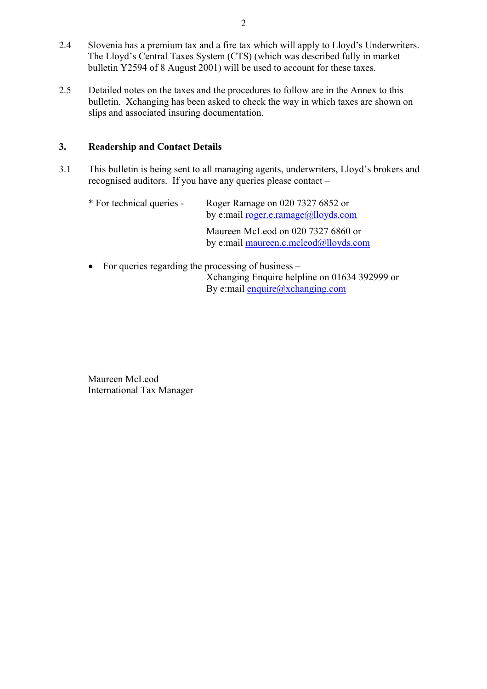- 2.4 Slovenia has a premium tax and a fire tax which will apply to Lloyd's Underwriters. The Lloyd's Central Taxes System (CTS) (which was described fully in market bulletin Y2594 of 8 August 2001) will be used to account for these taxes.
- 2.5 Detailed notes on the taxes and the procedures to follow are in the Annex to this bulletin. Xchanging has been asked to check the way in which taxes are shown on slips and associated insuring documentation.

## **3. Readership and Contact Details**

3.1 This bulletin is being sent to all managing agents, underwriters, Lloyd's brokers and recognised auditors. If you have any queries please contact –

| * For technical queries - | Roger Ramage on 020 7327 6852 or<br>by e:mail <u>roger.e.ramage@lloyds.com</u> |
|---------------------------|--------------------------------------------------------------------------------|
|                           | Maureen McLeod on 020 7327 6860 or<br>by e:mail maureen.c.mcleod@lloyds.com    |

• For queries regarding the processing of business – Xchanging Enquire helpline on 01634 392999 or By e:mail [enquire@xchanging.com](mailto:enquire@xchanging.com)

Maureen McLeod International Tax Manager